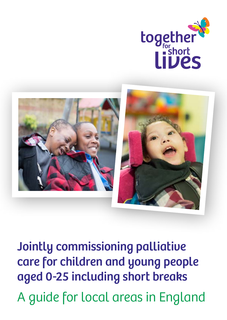



Jointly commissioning palliative care for children and young people aged 0-25 including short breaks A guide for local areas in England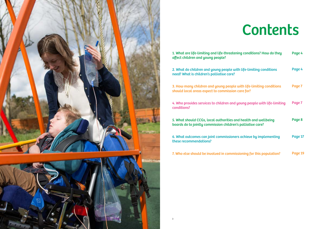

### 1. What are life-limiting and life-threatening conditions affect children and young people?

2. What do children and young people with life need? What is children's palliative care?

3. How many children and young people with should local areas expect to commission care

4. Who provides services to children and young conditions?

5. What should CCGs, local authorities and hed boards do to jointly commission children's pall

6. What outcomes can joint commissioners achieve these recommendations?

7. Who else should be involved in commissioning

# **Contents**

| onditions? How do they                  | Page 4  |
|-----------------------------------------|---------|
| e-limiting conditions                   | Page 4  |
| <b>Life-Limiting conditions</b><br>for? | Page 7  |
| g people with life-limiting             | Page 7  |
| alth and wellbeing<br>liative care?     | Page 8  |
| hieve by implementing                   | Page 17 |
| ing for this population?                | Page 19 |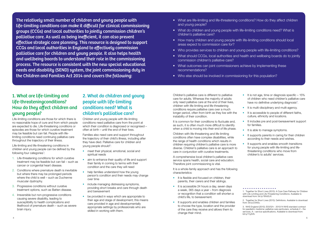## 1. What are life-limiting and life-threateningconditions? How do they affect children and young people?

Life-limiting and life-threatening conditions in children and young people can be defined by the following four categories<sup>1</sup>:

Life-limiting conditions are those for which there is no reasonable hope of cure and from which people are expected to die. Life-threatening conditions or episodes are those for which curative treatment may be feasible but can fail. People with lifelimiting conditions need continuing palliative care throughout the trajectory of their illness.

Families also need care and support throughout the trajectory of their child's illness, including after they have died. Palliative care for children and young people should<sup>2</sup>:

- 1. Life-threatening conditions for which curative treatment may be feasible but can fail – such as cancer or congenital heart disease.
- 2. Conditions where premature death is inevitable but where there may be prolonged periods where the child is well – such as Duchenne muscular dystrophy.
- 3. Progressive conditions without curative treatment options, such as Batten disease.
- 4. Irreversible but non-progressive conditions causing severe disability, leading to susceptibility to health complications and likelihood of premature death – such as severe brain injury.
- meet their physical, emotional, social and spiritual needs
- aim to enhance their quality of life and support their family in coming to terms with their condition and the care they will need
- help families understand how the young person's condition and their needs may change over time
- include managing distressing symptoms, providing short breaks and care through death and bereavement
- be provided in ways which are appropriate to their age and stage of development; this means care provided in age and developmentally appropriate settings by professionals who are skilled in working with them.

## 2. What do children and young people with life-limiting conditions need? What is children's palliative care?

Children and young people with life-limiting conditions need palliative care from the point at which their condition is diagnosed or recognised often at birth – until the end of their lives.

It is common for their conditions to fluctuate and. as such, it is often much more difficult to identify when a child is moving into their end of life phase.

- It is flexible and focused on children, their parents, their carers and their siblings.
- It is accessible 24 hours a day, seven days a week, 365 days a year – from diagnosis or recognition that a condition will shorten a child's life, to bereavement.
- It supports and enables children and families to choose the type, location and the provider of the care they receive and allows them to change their mind.

Children's palliative care is different to palliative care for adults. Whereas the majority of adults only need palliative care at the end of their lives, children with life-limiting and life-threatening conditions require palliative care over a much longer period, often from birth as they live with the instability of their condition.

- What are life-limiting and life-threatening conditions? How do they affect children and young people?
- What do children and young people with life-limiting conditions need? What is children's palliative care?
- How many children and young people with life-limiting conditions should local areas expect to commission care for?
- Who provides services to children and young people with life-limiting conditions?
- What should CCGs, local authorities and health and wellbeing boards do to jointly commission children's palliative care?
- What outcomes can joint commissioners achieve by implementing these recommendations?
- Who else should be involved in commissioning for this population?

Children with life-threatening and life-limiting conditions often have complex disabilities, while the range of health conditions which results in children requiring children's palliative care is more diverse. Children's palliative care is an approach to care in conjunction with curative treatments.

- It is not age, time or diagnosis specific 15% of children who need children's palliative care have no definitive underlying diagnosis $3$ .
- It is multi-disciplinary and multi-agency.
- It is accessible to people of different faiths, culture, ethnicity and locations.
- It includes pre and post-bereavement support for families.
- It is able to manage symptoms.
- It supports parents in caring for their children according to their needs and wishes.
- It supports and enables smooth transitions for young people with life-limiting and lifethreatening conditions who move from children's to adults' services.

A comprehensive local children's palliative care service spans health, social care and education. Therefore joint commissioning is vital.

It is a whole-family approach and has the following characteristics:

The relatively small number of children and young people with life-limiting conditions can make it difficult for clinical commissioning groups (CCGs) and local authorities to jointly commission children's palliative care. As well as being inefficient, it can also prevent effective strategic care planning. This resource is designed to support CCGs and local authorities in England to effectively commission palliative care for children and young people. It also helps health and wellbeing boards to understand their role in the commissioning process. The resource is consistent with the new special educational needs and disability (SEND) system, the joint commissioning duty in the Children and Families Act 2014 and covers the following:

<sup>1.</sup> Together for Short Lives (2013). A Core Care Pathway for Children with Life-Limiting and Life-Threatening Conditions. Available to download from: [bit.ly/18Vd3JV.](http://bit.ly/18Vd3JV)

<sup>2.</sup> Together for Short Lives (2013). Definitions. Available to download from: [bit.ly/Z34i5s](http://bit.ly/Z34i5s).

<span id="page-2-0"></span><sup>3.</sup> NHS England (2013). E03/S/h - 2013/14 NHS standard contract for paediatric medicine: palliative care particulars, schedule 2 – the services, A – service specifications. Available to download from: [bit.ly/11yjtVS](http://bit.ly/11yjtVS).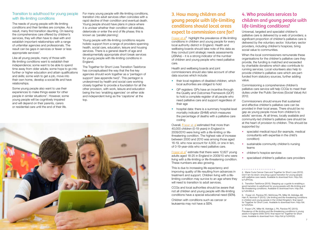

#### Transition to adulthood for young people with life-limiting conditions

The needs of young people with life-limiting conditions and their families are complex. As a result, many find transition daunting. On leaving the comprehensive care offered by children's services, they will often have to deal with and establish important relationships with a range of unfamiliar agencies and professionals. The result can be gaps in services or fewer or less appropriate services<sup>4</sup>.

Like all young people, many of those with life-limiting conditions want to establish their independence; some want to be able to spend time away from older adults; some hope to go into further or higher education and attain qualifications and skills; some wish to get a job, move into their own home, develop a social life and have relationships.

Young people with life-limiting conditions require holistic support from a range of providers spanning health, social care, education, leisure and housing services. There is a general dearth of age and developmentally appropriate short break services for young people with life-limiting conditions in England.

Some young people also want to use their experiences to make things easier for other people in similar situations<sup>4</sup>. However, some young people will be cognitively impaired and will depend on their parents, carers or residential care until the end of their life.

For many young people with life-limiting conditions, transition into adult services often coincides with a rapid decline of their condition and eventual death. Young people should have plans in place where it is unclear whether their condition will stabilise, deteriorate or enter the end of life phase; this is known as 'parallel planning'.

Fraser et al<sup>6</sup> highlight the prevalence of life-limiting conditions in children and young people for every local authority district in England. Health and wellbeing boards should take note of this data as they conduct joint strategic needs assessments (JSNAs) – it is a strong indicator of the number of children and young people who need palliative care.

- their local registers of disabled children, which local authorities are obliged to hold
- GP registers: GPs have an incentive through the Quality and Outcomes Framework (QOF) to hold a complete register of all people who need palliative care and support regardless of their age
- hospital data: there is a summary hospital-level mortality indicator (SHMI) which measures the percentage of deaths with a palliative care coding

Fraser et al<sup>7</sup> estimate that there were 12,827 young adults aged 18-25 in England in 2009/10 who were living with a life-limiting or life-threatening condition. These numbers are also growing.

This is due to increasing life expectancy and improving quality of life resulting from advances in treatment and support. Children living with a lifelimiting condition may survive to an age where they will need to transition to adult services.

The Together for Short Lives Transition Taskforce has conceptualised the way that the five key agencies should work together as a 'pentagon of support' (see appendix two)<sup>5</sup>. This pentagon is underpinned by health and social care working closely together to provide a foundation for all the other provision, with work, leisure and education being the two 'enabling agencies' on either side and independent living as the 'capstone' at the top.

## 3. How many children and young people with life-limiting conditions should local areas expect to commission care for?

Health and wellbeing boards and joint commissioners should also take account of other data sources which include:

Overall, [Fraser et al](http://bit.ly/1z24ZQw) estimated that more than 40,000 children (0-19 years) in England in 2009/2010 were living with a life-limiting or lifethreatening condition. The highest rate of increase between 2000 and 2010 was among those aged 16-19, who now account for 4,000, or one in ten, of 0-19-year-olds who need palliative care.

CCGs and local authorities should be aware that not all children and young people with life-limiting conditions have a special educational need (SEN).

Children with conditions such as cancer or leukaemia may not have a SEN.

## 4. Who provides services to children and young people with life-limiting conditions?

Universal, targeted and specialist children's palliative care is delivered by a web of providers; a significant proportion of children's palliative care is delivered by the voluntary sector. Voluntary sector providers, including children's hospices, bring social value to communities.

When the local commissioners remunerate these organisations for the children's palliative care they provide, the funding is matched and exceeded by charitable donations which also contribute to running services. Local volunteers also help to provide children's palliative care which are partfunded from statutory sources, further adding value.

Commissioning a comprehensive children's palliative care service will help CCGs to meet their duties under the Public Services (Social Value) Act 2012.

Commissioners should ensure that sustained and effective children's palliative care can be provided in their local areas. There should be no gap as young people move from children's to adults' services. At all times, locally available and community-led children's palliative care should be at the heart of provision to children. This should be supported by:

- specialist medical input (for example, medical consultants with expertise in the child's condition)
	- sustainable community children's nursing teams
	- children's hospice services
	- specialised children's palliative care providers

<sup>4.</sup> Marie Curie Cancer Care and Together for Short Lives (2012). Don't let me down: ensuring a good transition for young people with palliative care needs. Available to download from: [http://bit.](http://bit.ly/1uRYCey) [ly/1uRYCey.](http://bit.ly/1uRYCey)

<span id="page-3-0"></span><sup>5.</sup> Transition Taskforce (2015). Stepping up: a guide to enabling a good transition to adulthood for young people with life-limiting and life-threatening conditions. Available to download from: [http://bit.](http://bit.ly/1J0mMLA) [ly/1J0mMLA](http://bit.ly/1J0mMLA).

<sup>6.</sup> Fraser LK, Parslow RC, McKinney PA, Miller M, Aldridge JM, Hain R, Norman P (2012). Life-limiting and life-threatening conditions in children and young people in the United Kingdom; final report for Together for Short Lives. Available to download from: [http://bit.](http://bit.ly/1z24ZQw) [ly/1z24ZQw](http://bit.ly/1z24ZQw).

<sup>7.</sup> Fraser LFK, Miller M, Aldridge J, PA, Parslow RC (2013). Prevalence of life-limiting and life-threatening conditions in young adults in England 2000-2010; final report for Together for Short Lives. Available to download from: <http://bit.ly/1z24VQQ>.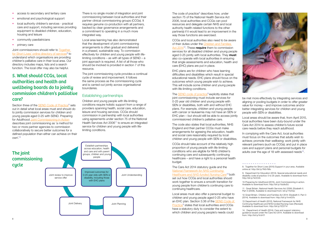- access to secondary and tertiary care
- emotional and psychological support
- local authority children's services practical care and support, including services providing equipment to disabled children, education, housing and leisure
- community paediatricians
- primary care

Section three of the **[SEND Code of Practice](https://www.gov.uk/government/publications/send-code-of-practice-0-to-25)**<sup>9</sup> sets out in detail what local areas must and should do to jointly commission services for children and young people aged 0-25 with SEND. Preparing for Adulthood [Joint Commissioning in Action](http://www.preparingforadulthood.org.uk/what-we-do/joint-commissioning/joint-commissioning-in-action) describes joint commissioning as 'a method for two or more partner agencies to commission collaboratively to secure better outcomes for a defined population than either can achieve on their own'[.10](#page-4-0)

Joint commissioners should refer to [Together](https://www2.togetherforshortlives.org.uk/portal/public/volunteer/default.aspx?page=)  [for Short Lives' online directory of services](https://www2.togetherforshortlives.org.uk/portal/public/volunteer/default.aspx?page=)<sup>8</sup> to understand which organisations are providing children's palliative care in their local area. Our directory includes maps, lists and a search function. The local offer may also be helpful.

## 5. What should CCGs, local authorities and health and wellbeing boards do to jointly commission children's palliative care?

The code of practice<sup>[9](#page-4-1)</sup> describes how, under section 75 of the [National Health Service Act](http://bit.ly/11IcfQo )  [2006](http://bit.ly/11IcfQo ), local authorities and CCGs can pool resources and delegate certain NHS and local authority health-related functions to the other partner(s) if it would lead to an improvement in the way those functions are exercised.

There is no single model of integration and joint commissioning between local authorities and their partner clinical commissioning groups (CCGs). It requires genuine co-production with all partners, backed by clear governance arrangements and a commitment to operating in a much more integrated way.

> Act  $2014^{12}$ . These require them to commission services for all disabled children and young people aged 0-25 jointly with local authorities. They must also co-operate with local authorities in ensuring that single assessments and education, health and care (EHC) plans are put in place.

Local area learning has also demonstrated that the development of joint commissioning arrangements is often gradual and delivered in a phased, sustainable way. To commission effectively for children and young people with lifelimiting conditions – as with all types of SEND – a joint approach is required. A list of all those who should be involved is provided in section 7 of this resource.

> The [SEND code of practice](http://bit.ly/1kOCi5i)<sup>9</sup> explicitly states that joint commissioning must include services for 0-25 year old children and young people with SEN or disabilities, both with and without EHC plans. For example, children and young people with cancer or leukaemia may not have an SEN or EHC plan – but should still be able to access jointly commissioned children's palliative care.

The joint commissioning cycle provides a continual cycle of review and improvement. It follows the same process as the commissioning cycle and is carried out jointly across organisational boundaries.

#### Establishing partnerships

Children and young people with life-limiting conditions require holistic support from a range of providers spanning health, social care, education, leisure and housing services. CCGs should commission in partnership with local authorities using agreements under section 75 of the National Health Services Act 2006<sup>11</sup> to ensure an integrated service for children and young people with lifelimiting conditions.

CCGs and local authorities also need to be aware of their duties under the [Children and Families](http://bit.ly/1rmlG7b) 



EHC plans are for children who have learning difficulties and disabilities which result in special educational needs. EHC plans should focus on the outcomes which young people wish to achieve. This will include some children and young people with life-limiting conditions.

The code also states that local authorities, NHS England and their partner CCGs must make arrangements for agreeing the education, health and social care reasonably required by local children and young people with SEN or disabilities.

CCGs should take account of the relatively high proportion of young people with life-limiting conditions who are eligible for NHS children's continuing care and subsequently continuing healthcare – and have a right to a personal health budget.

The Care Act 2014 statutory guide and the *[National Framework for NHS Continuing](http://bit.ly/1fZ3714)  [Healthcare and NHS-funded Nursing Care](http://bit.ly/1fZ3714)*13 both set out how CCGs and local authorities should work together to ensure a smooth transition for young people from children's continuing care to continuing healthcare.

Local areas must also offer a personal budget to children and young people aged 0-25 who have an EHC plan. Section 3.36 of the [SEND Code of](http://bit.ly/1kOCi5i)  [Practice](http://bit.ly/1kOCi5i)<sup>[9](#page-4-1)</sup> states that local authorities and CCGs have a statutory duty to consider the extent to which children and young people's needs could



<span id="page-4-2"></span>8. Together for Short Lives (2015) Support in your area. Available online at: <http://bit.ly/1N5r1Mo>

<span id="page-4-1"></span>9. Department for Education (2014). Special educational needs and disability code of practice: 0 to 25 years. Available to download from: <http://bit.ly/1kOCi5i>

10.Preparing for Adulthood (2015). Joint Commissioning in action. Available to download from:<http://bit.ly/1du8oSU>

<span id="page-4-0"></span>11. Great Britain. National Health Services Act 2006: Elizabeth II. Part 3 (2006). Available to download from: <bit.ly/11IcfQo>

12.Great Britain. Children and Families Act 2014: Elizabeth II. Part 3 (2014). Available to download from: http://bit.ly/1rmlG7b

13.Department of Health (2012). National Framework for NHS Continuing Healthcare and NHS-funded Nursing Care (Revised). Available to download from:<http://bit.ly/1fZ3714>

14. Department of Health (2014). Care and support statutory guidance issued under the Care Act 2014. Available to download from:<http://bit.ly/VrzH7i>

be met more effectively by integrating services and aligning or pooling budgets in order to offer greater value for money – and improve outcomes and/or better integrating services for children and young people with SEN or disabilities.

Local areas should be aware that, from April 2015, local authorities have been duty-bound under the Care Act 2014 to assess children's future social care needs before they reach adulthood.

In complying with the Care Act, local authorities must focus on the outcomes that adults wish to achieve; promote their wellbeing; work jointly with relevant partners (such as CCGs); and put in place care and support plans and personal budgets for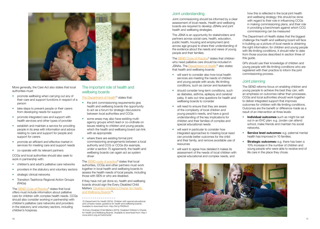



More generally, the Care Act also states that local authorities must:

- promote wellbeing when carrying out any of their care and support functions in respect of a person
- take steps to prevent people or their carers from developing needs for support
- promote integrated care and support with health services and other types of provider
- establish and maintain a service for providing people in its area with information and advice relating to care and support for people and support for carers
- promote an efficient and effective market in services for meeting care and support needs
- co-operate with its relevant partners

- children's and adult's palliative care networks
- providers in the statutory and voluntary sectors
- strategic clinical networks
- Transition Taskforce Regional Action Groups (RAGs)

The **SEND Code of Practice**<sup>[9](#page-4-1)</sup> states that local offers must include information about palliative care for children with complex health needs. CCGs should also consider working in partnership with children's palliative care networks and providers in the statutory and voluntary sectors, including children's hospices.

CCGs and local authorities should also seek to work in partnership with:

- the joint commissioning requirements give health and wellbeing boards the opportunity to act as a forum for strategic discussions between local authorities and CCGs
- some areas may also have existing multiagency groups which lead or co-ordinate on issues relating to children and young people, which the health and wellbeing board can link with as appropriate
- where there are existing formal joint commissioning arrangements between a local authority and CCG or CCGs (for example, under a section 75 agreement), the health and wellbeing boards can again act as system driver

The **SEND** code of practice<sup>[9](#page-4-1)</sup> states that local authorities, CCGs and other partners must work together in local health and wellbeing boards to assess the health needs of local people, including those with SEN or who are disabled.

If they have not yet done so, health and wellbeing boards should sign the Every Disabled Child Matters ['Disabled Children's Charter for Health](http://www.edcm.org.uk/hwbcharter)  [and Wellbeing Boards'1](http://www.edcm.org.uk/hwbcharter)6.

#### The important role of health and wellbeing boards

#### [The Department of Health](https://www.gov.uk/government/publications/supporting-children-with-special-educational-needs-and-disabilities)<sup>15</sup> states that:

The **[SEND Code of Practice](http://bit.ly/1kOCi5i)**<sup>[9](#page-4-1)</sup> states that children who need palliative care should be included in JSNAs. The [Department of Health](http://bit.ly/1RQRxr0)<sup>[15](#page-4-2)</sup> also states that health and wellbeing boards:

- will want to consider also how local health services are meeting the needs of children and young people with acute, life-limiting conditions, such as cancer and leukaemia
- should consider long-term conditions, such as diabetes, asthma, epilepsy and cerebral palsy. It sets out nine questions for health and wellbeing boards to consider
- will need to ensure that they are aware of the complexity of local children and young people's needs, and have a good understanding of the key implications for children and their families of complex and special educational needs
- will want in particular to consider how integrated approaches to meeting local need can provide better outcomes for the child and their family, and remove avoidable use of resources
- will want to agree how detailed it makes its assessment of the needs of local children with special educational and complex needs, and

#### Joint understanding

Joint commissioning should be informed by a clear assessment of local needs. Health and wellbeing boards are required to develop JSNAs and joint health and wellbeing strategies.

> • Individual outcomes such as might be set out in an EHC plan: e.g. Jordan can attend school, make friends and maintain his social networks.

• Service level outcomes: e.g. paternal mental health has improved in 10 families.

The JSNA is an opportunity for stakeholders and partners across social care, health, education, public health, housing and employment (and across age groups) to share their understanding of the evidence about the needs and views of young people and their families.

> **• Strategic outcomes:** e.g. there has been a 10% increase in the number of children and young people who were able to receive end of life care in the place they chose.

how this is reflected in the local joint health and wellbeing strategy; this should be done with regard to their role in influencing CCGs in making commissioning plans, and their role in providing a benchmark against which CCG commissioning can be measured

The Department of Health states that the biggest challenge the health and wellbeing board will face in building up a picture of local needs is obtaining the right information; for children and young people with life-limiting conditions, it should refer to data from those sources described in section three of this guide.

GPs should use their knowledge of children and young people with life-limiting conditions who are registered with their practice to inform the joint commissioning process.

#### Joint planning

The SEND reforms focus on enabling children and young people to achieve the best they can, with an emphasis on outcomes rather than processes. CCGs and local authorities should work together to deliver integrated support that improves outcomes for children with life-limiting conditions. Outcomes are the benefit or difference made as a result of an intervention at three levels:

15.Department for Health (2014). Children with special educational and complex needs: guidance for health and wellbeing boards. Available to download from: http://bit.ly/1RQRxr0

16.Every Disabled Child Matters (2013). Disabled Children's Charter for Health and Wellbeing Boards. Available to download from: http:// www.edcm.org.uk/hwbcharter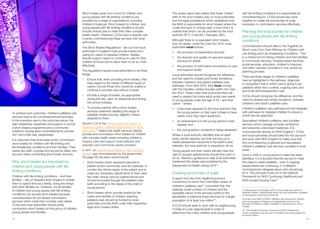

To achieve such outcomes, children's palliative care services have to be commissioned and provided. In the scenarios next to the outcomes above, the right wheelchair, equipment and support in school, a short breaks programme and a community children's nursing team commissioned to provide 24/7 end of life care, respectively.

It is important that local areas jointly commission short breaks for children with life-limiting and life-threatening conditions and their families. Their needs are often complex and should be taken into account when contracting short break services.

#### Why short breaks are important for children and young people with lifelimiting conditions

The Short Breaks Regulations<sup>17</sup> set out how local authorities in England must provide breaks from caring for carers of disabled children. Breaks should support carers to continue to care for their children at home and to allow them to do so more effectively.

Children with life-limiting conditions – and their families – rely on frequent short breaks to enable them to spend time as a family, doing the things that other families do. However, not all families of children and young people with life-limiting conditions can access short breaks because commissioners do not always commission services which meet their complex care needs. CCGs and local authorities should jointly commission short breaks for this group of children, young people and families.

Short breaks away from home for children and young people with life-limiting conditions are provided by a range of organisations, including children's hospices. Short breaks for children and young people with life-limiting conditions should include clinical care to meet their often complex health needs. Therefore, CCGs have a specific role in jointly commissioning these services with local authorities.

Although there is no equivalent short breaks duty for adults, under the Care Act 2014, local authorities **must** ensure:

The regulations require local authorities to do three things:

- the provision of preventative services
- the diversity and quality of care and support services for adults
- the provision of information and advice on care and support locally

- 1. Ensure that, when providing short breaks, they have regard to the needs of different types of carers, not just those who would be unable to continue to provide care without a break.
- 2. Provide a range of breaks, as appropriate, during the day, night, at weekends and during the school holidays.
- 3. To provide parents with a short breaks services statement detailing the range of available breaks and any eligibility criteria attached to them.

#### Section 2.10 of the ['Short breaks for carers of](https://www.gov.uk/government/uploads/system/uploads/attachment_data/file/245580/Short_Breaks_for_Carers_of_Disabled_Children.pdf)  [disabled children: departmental advice for local](https://www.gov.uk/government/uploads/system/uploads/attachment_data/file/245580/Short_Breaks_for_Carers_of_Disabled_Children.pdf)  authorities<sup>'17</sup> states that health services directly provide and commission short breaks for children with complex health needs including children's hospice care and support local authority and voluntary and community sector provision.

In 2011, an [Independent Palliative Care Funding](https://www.gov.uk/government/uploads/system/uploads/attachment_data/file/215107/dh_133105.pdf)  [Review](https://www.gov.uk/government/uploads/system/uploads/attachment_data/file/215107/dh_133105.pdf) was commissioned by the government. On page 59, the team recommends:

- 1. Short breaks which represent planned inpatient and/or community care (for example, to monitor the clinical needs of the patient and to make any necessary adjustments to their care) fall under clinical care as outlined above and should be funded through the palliative care tariff, according to the needs of the child or young person.
- 2. Short breaks which provide respite for the carers and families of children requiring palliative care should be funded by local authorities and the NHS under their respective legal short breaks duties.

The review report also states that these "duties" refer to the short breaks duty on local authorities and the legal precedence which establishes that the NHS is responsible for short breaks where the 'scale and type of nursing care' is such that it is outside that which can be provided by the local authority (R (T, D and B) v Haringey LBC).

Local authorities should recognise the difference, and the need for phased and timely transitions, between children's and adult's palliative care pathways. From April 2015, they **must** comply with the transition duties included within the Care Act 2014. These mean that local authorities will need to assess the future adult social care needs of young people under the age of 18 – and their carers – where:

- it becomes apparent to the local authority that the young person or their carer is likely to have needs once they reach adulthood
- an assessment is in the young person's best interest; and
- the young person consents to being assessed

Where a local authority identifies that an adult lacks mental capacity and that carrying out a needs assessment would be in the adult's best interests, the local authority is required to do so.

Young people and their carers will also have the right to request assessments should they wish to do so. Statutory guidance to help local authorities implement the duties was published by the Department of Health during 201414.

## Creating economies of scale

A report from the York Health Economics Consortium to inform the Craft-Killen review of children's palliative care<sup>18</sup> concluded that 'the relatively small numbers of children and the specialist nature of the services points to the advisability of planning these services for a larger population of at least one million'19.

A CCG should seek to work with its neighbouring CCG(s) at a sub-regional level in order to determine how many children and young people

with life-limiting conditions it is responsible for commissioning for. CCGs should also work together to create the economies of scale necessary to commission services effectively.

#### Planning the local journey for children and young people with life-limiting conditions

Commissioners should refer to the Together for Short Lives *Core Care Pathway for Children with Life-limiting and Life-threatening Conditions*<sup>1</sup> . This is a critical tool for linking children and their families to community services, hospital-based services, social services, education, children's hospices and other voluntary providers in one, joined-up planning process.

There are three stages to children's palliative care as highlighted in the pathway: diagnosis or recognition that a child's care is going to be palliative rather than curative; ongoing care; and end of life and bereavement care.

CCGs should recognise the difference, and the need for phased and timely transitions, between children's and adult's palliative care.

Children's palliative care pathways should integrate with pathways for disabled children to ensure a whole service approach.

Specialised children's palliative care includes services which manage complex symptoms and prescribe unlicensed medicines. It is commissioned directly by NHS England<sup>3</sup>. CCGs and local authorities should take this into account and work with NHS England to make sure that the commissioning of general and specialised children's palliative care services correlate in local areas.

Once a child or young person's need has been identified, it is important that the service to meet this need is made available – even if ongoing assessments are continuing, or if different commissioners disagree about who should pay for it. This principle is set out in the *National Framework for NHS Continuing Healthcare and NHS-funded Nursing Care*13.

<sup>18.</sup>Craft A and Killen S (2007). Palliative care services for children and young people in England: an independent review for the Secretary of State for Health. Available to download from: [bit.ly/](http://bit.ly/YHZjsA) YHZisA.

<sup>17.</sup> Department for Education (2011). Short breaks for carers of disabled children: departmental advice for local authorities. Available to download at: <http://bit.ly/1EmRyvM>

<sup>19.</sup> York Health Economics Consortium (2007) Independent review of palliative care services for children and young people: An economic report.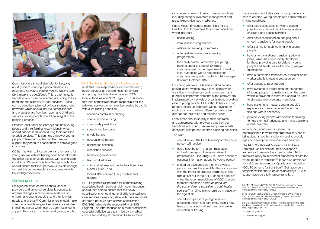

Commissioners should also refer to *Stepping up: A guide to enabling a good transition to adulthood for young people with life-limiting and*  life-threatening conditions<sup>[5](#page-3-0)</sup>. This is a template for transition which can be adapted according to local need and the capacity of local services. These can be effectively planned by local strategic level networks which should include commissioners and professionals from both adult and children's services. Young people should be integral to this planning process.

Effective local transition journeys can help young people and their families clearly identify what should happen (and when) during their transition to adult services. This can help empower young people to take part in planning the care and support they need to enable them to achieve good outcomes.

illustrates how responsibility for commissioning health services and public health for children and young people is divided across CCGs, local authorities and NHS England $21$ . This states that joint commissioners are responsible for the following services which may be needed by a child with a life-limiting condition:

CCGs may wish to incorporate transition plans for young people with life-limiting conditions into wider transition plans for young people with a long-term conditions. Where CCGs take this approach, they should ensure that their pathway is flexible enough to meet the unique needs of young people with life-limiting conditions.

#### Delivering jointly

- childrens community nursing
- special school nursing
- community peadiatrics
- speech and language
- physiotherapy
- occupational therapy
- continence services
- wheelchair services
- home oxygen services
- learning disabilities
- child and adolescent mental health services (CAMHS) tier 2 and 3
- looked after children (LAC) medical and nursing

Dialogue between commissioners, service providers and universal services is essential to achieve changes in response to evidence on children and young people's, and their families, needs and wishes<sup>20</sup>. Commissioners should make sure that a flexible range of services are available in their local area which can be commissioned to support this group of children and young people.

#### [NHS South East Strategic Clinical Networks](http://www.secscn.nhs.uk/files/5114/2738/0759/Who_Commissions_What_Slides_for_CYP_V3.pdf)

- health visiting
- immunisation programmes
- national screening programmes
- antenatal and new-born screening programmes
- the Family Nurse Partnership (for young parents under the age of 19 (this is commissioned by the Department of Health; local authorities will be responsible for commissioning public health for children aged 0-5 from October 2015)

- should set out the transition support the young person will receive
- could take the form of a communication or 'health passport' to ensure relevant professionals – including GPs – have access to essential information about the young person
- should be developed by the time a young person reaches the age of 14; this is consistent with the transition process beginning in year nine as set out in the SEND code of practice<sup>[9](#page-4-1)</sup> – and the recommendations of CQC's recent thematic inspection *From the pond into the sea: children's transition to adult health*  services<sup>[22](#page-7-1)</sup>; a rolling plan should be in place by the age of 16
- should form part of a young person's education, health and care (EHC) plan if they have a special educational need and are in education or training.

NHS England is responsible for commissioning specialised health services. Joint commissioners should take care to ensure that their own specifications for local, general children's palliative care services closely correlate with the specialised children's palliative care service specification E03/S/h3, which is the responsibility of NHS England. The latter focuses on a multi-professional specialist palliative care team, led by a medical consultant working at Paediatric Palliative Care

Competency Level 4. It encompasses functions including complex symptom management and prescribing unlicensed medicines.

Public Health England is responsible for the Healthy Child Programme for children aged 0-5 which includes:

- offer services suitable for young people possibly as a distinct discipline separate to children's and adults' services
- offer services focused on bringing about smooth transitions for young people
- offer training for staff working with young people
- have an organisational transition policy in place, which has been jointly developed by those providing care to children, young people and adults, as well as young people themselves
- have a nominated transition co-ordinator or key worker who is known to young person
- offer access to peer support.
	- have systems to collect data on the number of young people in transition and on the care which is provided to them; this should be used to stimulate improvements in services
- have systems to measure young people's experiences of services – and to act on findings where necessary
- provide young people with access to training to help them self-advocate and make decisions about their care

For young people, CCGs and local authorities should jointly oversee how a local pathway for transition is functioning – and make sure that a number of important elements of the pathway are implemented by the web of organisations providing care to young people. CCGs should help to bring about a joined-up approach without overlap or duplication – and where different providers are clear about their roles and responsibilities.

Local areas should specify in their contracts and agreements with providers that they plan transitions with young people and professionals consistent with person-centred planning principles.

#### The plan:

Local areas should also specify that providers of care to children, young people and adults with lifelimiting conditions:

In particular, adult services should be commissioned to work with children's services to bring about smooth transitions – and to provide age and developmental appropriate services.

The NHS South West Maternity & Children's Strategic Clinical Network has developed a framework to assess the extent to which NHS trusts are ready to implement standards of care for young people in transition<sup>23</sup>. It has also developed a local Commissioning for Quality and Innovation (CQUIN) scheme for transition<sup>[2](#page-7-3)4</sup>. Both provide a template which should be considered by CCGs to support providers to improve transition.

<sup>20.</sup> Mott Macdonald (2015). SEND Pathfinder Information Pack: Version 6, March 2015 - Joint Commissioning. Available to download from: http://bit.ly/1Jn6tLs

<sup>21.</sup>[NHS South East Strategic Clinical Networks](http://www.secscn.nhs.uk/files/5114/2738/0759/Who_Commissions_What_Slides_for_CYP_V3.pdf) (2015). Who are the commissioners for children and young people? Available to download from:<http://bit.ly/1L7GQ57>

<span id="page-7-1"></span><sup>22.</sup> Care Quality Commission (2014). From the pond into the sea: children's transition to adult health services. Available to download from:<http://bit.ly/1uKT4Yf>

<span id="page-7-2"></span><sup>23.</sup> [http://bit.ly/1ibif3e](http://bit.ly/1ibif3e ) 

<span id="page-7-3"></span><sup>24.</sup> <http://bit.ly/1ibigUR>

<span id="page-7-0"></span>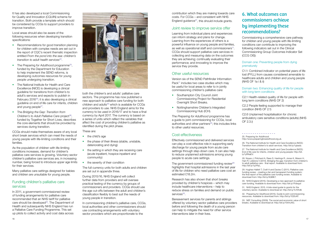It has also developed a local Commissioning for Quality and Innovation (CQUIN) scheme for transition. Both provide a template which should be considered by CCGs to support providers to improve transition.

Local areas should also be aware of the following resources when developing transition specifications:

- Recommendations for good transition planning for children with complex needs are set out in the report of CQC's recent thematic inspection entitled *From the pond into the sea: children's transition to adult health services*<sup>[22](#page-7-1)</sup>.
- The Preparing for Adulthood programme<sup>[25](#page-8-0)</sup>, funded by the Department for Education to help implement the SEND reforms, is developing outcomes resources for young people undergoing transition.
- The National Institute for Health and Care Excellence (NICE) is developing a clinical guideline for transitions from children's to adult's services and expects to publish in February  $2016^{26}$  $2016^{26}$  $2016^{26}$ ; it is also developing a clinical guideline on end of life care for infants, children and young people<sup>[27](#page-8-2)</sup>.
- The *Bridging the Gap: Transition from Children's to Adult Palliative Care* project<sup>28</sup>, funded by Together for Short Lives, describes the core elements that should be provided by services during transition.

CCGs should make themselves aware of any local short break services which can meet the needs of young people with life-limiting conditions and their families.

As the population of children with life-limiting conditions increases, demand for children's palliative care services is growing. Voluntary sector children's palliative care services are, in increasing number, being forced to introduce upper age limits for their services.

> In commissioning children's palliative care, CCGs, local authorities and other commissioners should use contracting arrangements with voluntary sector providers which are proportionate to the

contribution which they are making towards care costs. For CCGs – and consistent with NHS England guidance $31$  $31$ , this should include grants.

Many palliative care settings designed for babies and children are unsuitable for young people.

#### Funding children's palliative care services

In 2011, a government-commissioned review of funding arrangements for palliative care recommended that an NHS tariff for palliative care should be developed<sup>29</sup>. The Department of Health and subsequently NHS England has run a Palliative Care Funding Programme. This set up pilots to collect activity and cost data across



- Southampton City Council Joint Commissioning Project for Residential Overnight Short Breaks.
- Nottinghamshire Children's Integrated Commissioning Hub (ICH).

both the children's and adults' palliative care sectors. The programme has now published a new approach to palliative care funding for both children and adults $30$  which is available for CCGs and providers to use. NHS England aims for the currency to be used in 2016/17 and to have a final currency by April 2017. The currency is based on a series of units which reflect the variables that affect the cost of providing children's palliative as identified during the pilot phase.

> The government-commissioned funding review $29$ highlights that hospital admissions in the last year of life for children who need palliative care cost an estimated £18.2m.

Research has also shown that short breaks provided by children's hospices – which may include healthcare interventions – help to reduce stress on families and demand on public services<sup>33</sup>.

These are:

- the child's age
- the phase of their illness (stable, unstable, deteriorating and dying)
- the setting in which they are receiving care (acute inpatient, hospice inpatient and community)
- the severity of their condition

<span id="page-8-0"></span>\_ \_ \_ \_ \_ \_ \_ \_ \_ \_ \_ \_ \_ \_ \_ \_ \_ 25. Preparing for Adulthood:

The full currency units for both adults and children are set out in appendix three.

During 2015/16, NHS England will collect further data from providers and will oversee practical testing of the currency by groups of commissioners and providers. CCGs should use the age cut-offs between the adult and children's classification flexibly to best suit the needs of young people in transition.

## Joint review to improve service offer

#### Domain two: Enhancing quality of life for people with long term conditions

Learning from individual plans and experiences can inform strategy and plans for change. Learning from the experiences of others is a powerful influence on young people and families, as well as operational staff and commissioners<sup>11</sup>. CCGs should support palliative care services in: collecting and measuring data on the outcomes they are achieving; continually evaluating their performance; and innovating to improve the service they provide.

### Other useful resources

Version six of the SEND Pathfinder Information Pack<sup>11</sup> includes two case studies which may be useful for local areas to refer to in jointly commissioning children's palliative care:

The *Preparing for Adulthood* programme has a guide to joint commissioning for CCGs, local authorities and other partners $32$ ; this includes links to other useful resources.

## Cost-effectiveness

Effectively commissioned and delivered services can play a cost-effective role in supporting early discharge for young people from acute care settings through step-down care. It can also help to reduce unplanned admissions among young people to acute care settings.

Bereavement services for parents and siblings offered by voluntary sector palliative care providers before and following the death of a young person can help to mitigate the need for other service interventions later in their lives.

<http://www.preparingforadulthood.org.uk>.

<span id="page-8-1"></span>26. The National Institute for Health and Care Excellence (NICE): Transition from children's to adult services. [http://bit.ly/1yjeadz.](http://bit.ly/1yjeadz)

<span id="page-8-2"></span>27. The National Institute for Health and Care Excellence (NICE): End of life care for infants, children and young people: [http://bit.](http://bit.ly/1yRNaEV.) [ly/1yRNaEV.](http://bit.ly/1yRNaEV.)

28. Noyes J, Pritchard A, Rees S, Hastings R, Jones K, Mason H, Hain R, Lidstone V (2014). Bridging the gap: transition from children's to adult palliative care - final report. Available to download from: [http://bit.ly/1yj1PpL.](http://bit.ly/1yj1PpL)

29. Hughes-Hallett T, Craft A and Davies C (2011). Palliative care funding review - creating a fair and transparent funding system; the final report of the palliative care funding review. Available to download from: http:/[/bit.ly/XQBIE7.](http://bit.ly/XQBIE7)

<span id="page-8-3"></span>30. NHS England (2015). Developing a new approach to palliative care funding. Available to download from[: http://bit.ly/1Fdxqyd](http://bit.ly/1Fdxqyd) 

<span id="page-8-4"></span>31. NHS England. 2015. A bite sized guide to grants for the voluntary sector. Available to download at: [http://bit.ly/1LY0hdk](http://bit.ly/1LY0hdk ) 

<span id="page-8-5"></span>32. Preparing for Adulthood (2015). Guide to joint commissioning resources. Available to download from: [http://bit.ly/1DZlcKF.](http://bit.ly/1DZlcKF)

<span id="page-8-6"></span>33. NEF Consulting (2009). The social and economic value of short breaks. Available to download at: http:/[/bit.ly/10VnUAG.](http://bit.ly/10VnUAG)

## 6. What outcomes can commissioners achieve by implementing these recommendations?

Commissioning a comprehensive care pathway for children and young people with life-limiting conditions can contribute to improving the following indicators set out in the Clinical Commissioning Group Outcomes Indicator Set (CCG OIS):

#### Domain one: Preventing people from dying prematurely

C1.1: Combined indicator on potential years of life lost (PYLL) from causes considered amenable to healthcare adults and children and young people (NHS OF 1a i & ii)

C2.1 Health-related quality of life for people with long term conditions (NHS OF 2)

C2.2 People feeling supported to manage their condition (NHS OF 2.1)

C2.6 Unplanned hospitalisation for chronic ambulatory care sensitive conditions (adults) (NHS OF 2.3.i)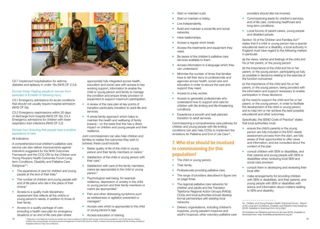

C2.7 Unplanned hospitalisation for asthma, diabetes and epilepsy in under 19s (NHS OF 2.3.ii)

#### Domain three: Helping people to recover from episodes of ill health or following injury

C3.1 Emergency admissions for acute conditions that should not usually require hospital admission (NHS OF 3a).

A comprehensive local children's palliative care service can also deliver improvements against indicators suggested for the NHS Outcomes Framework and the CCG OIS by the Children and Young People's Health Outcomes Forum Longterm Conditions, Disability and Palliative Care Subgroup<sup>[3](#page-9-0)4</sup>:

C3.2 Emergency readmissions within 30 days of discharge from hospital (NHS OF 3b). C3.4 Emergency admissions for children with lower respiratory tract infections (NHS OF 3.2)

#### Domain four: Ensuring that people have a positive experience of care

#### All indicators.

- The experience of care for children and young people at the end of their lives.\*
- The number of children and young people with end of life plans who die in the place of their choice.\*
- Access to a quality multi-disciplinary assessment that reflects all the child's or young person's needs, in addition to those of their family.
- Access to a quality package of care (including a health care plan for emergency situations or an end of life care plan where

appropriate) fully integrated across health, education and social care with access to key working support, information to enable the child or young person and family to manage the condition and ensure timely provision of equipment to support maximum participation.

- Start or maintain a job.
- Start or maintain a hobby.
- Live independently.
- Build and maintain a social life and social networks.
- Have relationships.
- Access a regular short break.
- Access the treatments and equipment they need.
- Be aware of the children's palliative care services available to them.
- Access information in a language which they can understand.
- Minimise the number of times that families have to tell their story to professionals and agencies across health, social care and education in order to secure the care and support they need.
- Access to a key worker.
- Access to generalist professionals who understand how to support and care for children with life-limiting and life-threatening conditions.
- Experience a smooth and well-planned transition to adult services.

Commissioning a comprehensive care pathway for children and young people with life-limiting conditions can also help CCGs to implement the Ambitions for Palliative and End of Life Care<sup>[3](#page-9-1)5</sup>.

- A review of the care plan at key points of transition particularly transition to adult life and services.
- A whole family approach which helps to maintain the health and wellbeing of family (carers) – on the basis that this has a direct impact on children and young people and their resilience.

Joint commissioners can also help children and families to realise the outcomes they wish to achieve; these could include:

- Better quality of life of the child or young person and their family members or carers.\*
- Satisfaction of the child or young person with their care.\*
- Satisfaction with care of the family members, carers (as appropriate) to the child or young person.\*
- Psychological well-being, for example resilience, depression or anxiety in the child or young person and their family members or carers (as appropriate).\*
- Pain and other distressing symptoms such as restlessness or agitation prevented or managed.\*
- Access care which is appropriate to the child or young person's age.
- Access education or training.
- The child or young person.
- Their family.
- Professionals providing palliative care.
- The range of providers described in figure one on page three.
- The regional palliative care networks for children and adults and the Transition Taskforce Regional Action Groups (RAGs); CCGs and local authorities should develop formal partnerships with existing local networks.
- Delivery organisations, including children's hospices, young people's hospices and adult's hospices; other voluntary palliative care

Section 19 of the Children and Families Act<sup>13</sup> states that if a child or young person has a special educational need or a disability, a local authority in England must have regard to the following matters in particular:

Specifically, the SEND Code of Practice<sup>[9](#page-4-1)</sup> states that local authorities must:

- ensure the child's parents or the young person are fully included in the EHC needs assessment process from the start, are fully aware of their opportunities to offer views and information, and are consulted about the content of the plan
	- consult children with SEN or disabilities, and their parents and young people with SEN or disabilities when reviewing local SEN and social care provision
- consult them in developing and reviewing their local offer
- make arrangements for providing children with SEN or disabilities, and their parents, and young people with SEN or disabilities with advice and information about matters relating to SEN and disability

18 19 \* Reflected in the National Institute for Health and Care Excellence's (NICE) draft scope of the clniical guideline 'End of life care for infants, children and young people: the planning and management of end of life care for infants, children and young people with life-limiting conditions'. Available online at: <http://bit.ly/1INzaz3>.

## 7. Who else should be involved in commissioning for this population?

providers should also be involved.

- Commissioning leads for children's services, end of life care, continuing healthcare and long-term conditions.
- Local forums of parent-carers, young people and disabled people.

(a) the views, wishes and feelings of the child and his or her parent, or the young person

(b) the importance of the child and his or her parent, or the young person, participating as fully as possible in decisions relating to the exercise of the function concerned

(c) the importance of the child and his or her parent, or the young person, being provided with the information and support necessary to enable participation in those decisions

(d) the need to support the child and his or her parent, or the young person, in order to facilitate the development of the child or young person and to help him or her achieve the best possible educational and other outcomes.

<span id="page-9-0"></span><sup>34.</sup> Children and Young People's Health Outcomes Forum - Report of the Long-term Conditions, Disability and Palliative Care Subgroup (2012). Available to download from: [bit.ly/Zqlirl.](http://bit.ly/Zqlirl)

<span id="page-9-1"></span><sup>35.</sup>Ambitions for Palliative and End of Life Care (2015). Available to download from:<http://endoflifecareambitions.org.uk/>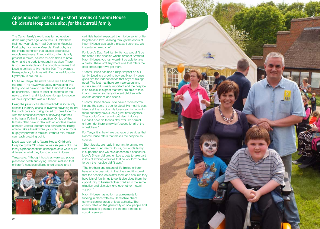

The Carroll family's world was turned upside down nine years ago when their GP told them their four year old son had Duchenne Muscular Dystrophy. Duchenne Muscular Dystrophy is a life-limiting condition that causes progressive muscle weakness. The condition, which is only present in males, causes muscle fibres to break down and the body to gradually weaken. There is no cure available and the condition means that Lloyd is unlikely to live into his 30s. The average life expectancy for boys with Duchenne Muscular Dystrophy is around 25.

For Mum, Tanya, the news came like a bolt from the blue: "The news was utterly devastating. No family should have to hear that their child's life will be shortened. It took at least six months for the news to sink in and it took even longer to uncover all the support that was out there."

Being the parent of a life-limited child is incredibly stressful: in many cases, it involves providing round the clock care and being forced to come to terms with the emotional impact of knowing that their child has a life-limiting condition. On top of this, families often have to deal with an endless stream of health visitors, doctors and consultants. Being able to take a break while your child is cared for is hugely important to families. Without this, families can reach breaking point.

Lloyd was referred to Naomi House Children's Hospice by his GP when he was six years old. The family's preconceptions of hospice care were quite different to what they found at Naomi House.

"Short breaks are really important to us and we really need it. At Naomi House, our whole family is supported and we have access to a counsellor. Lloyd's 5 year old brother, Louie, gets to take part in lots of exciting activities that he wouldn't be able to do if the hospice didn't exist."

Tanya says: "I thought hospices were sad places; places for death and dying. I hadn't realised that children's hospices offered short breaks and I



## Appendix one: case study - short breaks at Naomi House Children's Hospice are vital for the Carroll family

definitely hadn't expected them to be so full of life, laughter and love. Walking through the doors at Naomi House was such a pleasant surprise. We instantly felt welcome.'

For Lloyd's Dad, Neil, family life now wouldn't be the same if the hospice wasn't around: "Without Naomi House, you just wouldn't be able to take a break. There isn't anywhere else that offers the care and support we get there.'

"Naomi House has had a major impact on our family. Lloyd is a growing boy and Naomi House gives him the independence that boys at his age need. The fact that there are male carers and nurses around is really important and the hospice is so flexible; it is great that they are able to take in and care for so many different children with diverse conditions and needs."

"Naomi House allows us to have a more normal life and the same is true for Lloyd. He met his best friends at the hospice. He loves catching up with them and they have such a great time together. They couldn't do that without Naomi House. He can't have his friends stay over like normal children do; there simply isn't space for all of the wheelchairs."

For Tanya, it is the whole package of services that Naomi House offers that makes the hospice so special.

"The brothers and sisters of life-limited children have a lot to deal with in their lives and it is great that the hospice looks after them and ensures they have lots of fun things to do. It also gives them the opportunity to befriend other children in the same situation and ultimately give each other mutual support."

Naomi House has no formal agreements for funding in place with any Hampshire clinical commissioning group or local authority. The charity relies on the generosity of local people and businesses to generate the income it needs to sustain services.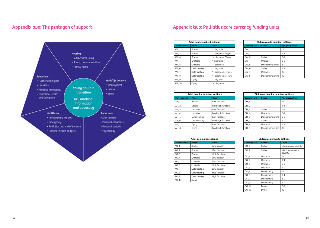

## Appendix two: The pentagon of support Appendix two: Palliative care currency funding units

| Adult acute inpatient settings |               |                      |
|--------------------------------|---------------|----------------------|
| <b>Currency unit</b>           | <b>Phase</b>  | Other                |
| AW <sub>1</sub>                | Stable        | 1 diagnosis          |
| $AW_2$                         | Stable        | 1+ diagnosis <75yrs  |
| AW <sub>3</sub>                | Stable        | 1+ diagnosis 75+yrs  |
| AW 4                           | Unstable      | 1 diagnosis          |
| AW 5                           | Unstable      | 1+ diagnosis         |
| AW <sub>6</sub>                | Deteriorating | 1 diagnosis          |
| $AW_7$                         | Deteriorating | 1+ diagnosis, <75yrs |
| AW 8                           | Deteriorating | 1+ diagnosis, 75+yrs |
| AW 9                           | Dying         | 1 diagnosis          |
| AW 10                          | Dying         | 1+ diagnosis         |

| <b>Children acute inpatient settings</b> |                     |                 |
|------------------------------------------|---------------------|-----------------|
| <b>Currency unit</b>                     | <b>Phase</b>        | Age group/other |
| CW <sub>1</sub>                          |                     | <1              |
| CW <sub>2</sub>                          |                     | $1 - 4$         |
| CW <sub>3</sub>                          | Stable              | $5-9$           |
| CW 4                                     | Unstable            | $5-9$           |
| CW <sub>5</sub>                          | Deteriorating/dying | $5 - 9$         |
| CW <sub>6</sub>                          | Stable              | $10+$           |
| CW <sub>7</sub>                          | Unstable            | $10+$           |
| CW <sub>8</sub>                          | Deteriorating/dying | $10+$           |

| <b>Children community settings</b> |               |                               |
|------------------------------------|---------------|-------------------------------|
| <b>Currency unit</b>               | <b>Phase</b>  | <b>Other</b>                  |
| $CC_1$                             | Stable        | Low physical severity         |
| $CC_2$                             | Stable        | Med/high physical<br>severity |
| $CC_3$                             | Unstable      | <1                            |
| $CC_4$                             | Unstable      | $1 - 4$                       |
| $CC_5$                             | Unstable      | $5-9$                         |
| $CC_6$                             | Unstable      | $10+$                         |
| $CC_7$                             | Deteriorating | $<$ 1                         |
| $CC_8$                             | Deteriorating | $1 - 4$                       |
| CC <sub>9</sub>                    | Deteriorating | $5-9$                         |
| $CC_1$ 10                          | Deteriorating | $10+$                         |
| CC 11                              | Dying         | $0 - 9$                       |
| $CC_12$                            | Dying         | $10+$                         |

| <b>Adult community settings</b> |               |               |
|---------------------------------|---------------|---------------|
| <b>Currency unit</b>            | <b>Phase</b>  | Other         |
| AC <sub>1</sub>                 | Stable        | Low function  |
| AC <sub>2</sub>                 | Stable        | Med function  |
| AC <sub>3</sub>                 | Stable        | High function |
| $AC_4$                          | Unstable      | Low function  |
| AC <sub>5</sub>                 | Unstable      | Med function  |
| $AC_6$                          | Unstable      | High function |
| AC 7                            | Deteriorating | Low function  |
| AC <sub>8</sub>                 | Deteriorating | Med function  |
| $AC_9$                          | Deteriorating | High function |
| $AC_1$ 10                       | Dying         |               |

| <b>Adult hospice inpatient settings</b> |               |                   |
|-----------------------------------------|---------------|-------------------|
| <b>Currency unit</b>                    | <b>Phase</b>  | Other             |
| AH <sub>1</sub>                         | Stable        | Low function      |
| AH 2                                    | Stable        | Med/high function |
| AH 3                                    | Unstable      | Low function      |
| $AH_4$                                  | Unstable      | Med/high function |
| AH 5                                    | Deteriorating | Low function      |
| AH 6                                    | Deteriorating | Med/high function |
| AH <sub>7</sub>                         | Dying         | Low function      |
| AH 8                                    | Dying         | Med/high function |

| <b>Children's hospice inpatient settings</b> |                     |                 |
|----------------------------------------------|---------------------|-----------------|
| <b>Currency unit</b>                         | <b>Phase</b>        | Age group/other |
| CH <sub>1</sub>                              |                     | <1              |
| CH <sub>2</sub>                              |                     | $1 - 4$         |
| CH <sub>3</sub>                              | Stable              | $5 - 9$         |
| CH <sub>4</sub>                              | Unstable            | $5-9$           |
| CH <sub>5</sub>                              | Deteriorating/dying | $5-9$           |
| CH <sub>6</sub>                              | Stable              | $10+$           |
| CH <sub>7</sub>                              | Unstable            | $10+$           |
| CH <sub>8</sub>                              | Deteriorating/dying | $10+$           |